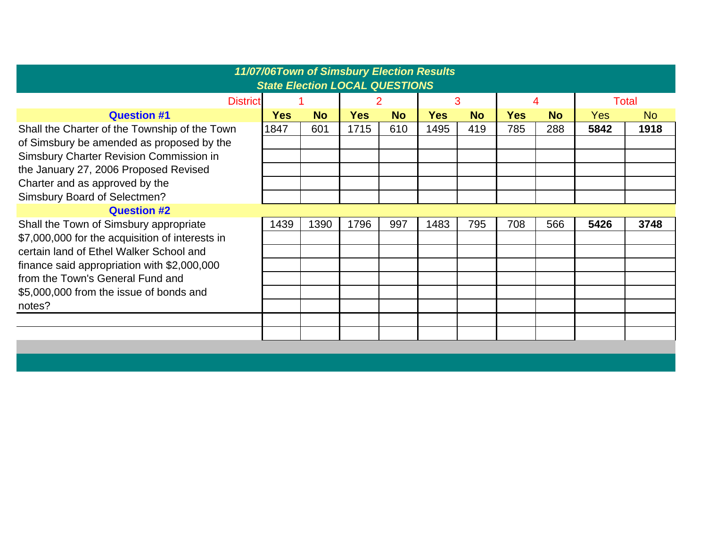|                                                 | 11/07/06Town of Simsbury Election Results<br><b>State Election LOCAL QUESTIONS</b> |           |            |           |            |           |            |           |              |           |
|-------------------------------------------------|------------------------------------------------------------------------------------|-----------|------------|-----------|------------|-----------|------------|-----------|--------------|-----------|
| <b>District</b>                                 |                                                                                    |           |            |           | 3          |           |            | 4         | <b>Total</b> |           |
| <b>Question #1</b>                              | <b>Yes</b>                                                                         | <b>No</b> | <b>Yes</b> | <b>No</b> | <b>Yes</b> | <b>No</b> | <b>Yes</b> | <b>No</b> | <b>Yes</b>   | <b>No</b> |
| Shall the Charter of the Township of the Town   | 1847                                                                               | 601       | 1715       | 610       | 1495       | 419       | 785        | 288       | 5842         | 1918      |
| of Simsbury be amended as proposed by the       |                                                                                    |           |            |           |            |           |            |           |              |           |
| Simsbury Charter Revision Commission in         |                                                                                    |           |            |           |            |           |            |           |              |           |
| the January 27, 2006 Proposed Revised           |                                                                                    |           |            |           |            |           |            |           |              |           |
| Charter and as approved by the                  |                                                                                    |           |            |           |            |           |            |           |              |           |
| Simsbury Board of Selectmen?                    |                                                                                    |           |            |           |            |           |            |           |              |           |
| <b>Question #2</b>                              |                                                                                    |           |            |           |            |           |            |           |              |           |
| Shall the Town of Simsbury appropriate          | 1439                                                                               | 1390      | 1796       | 997       | 1483       | 795       | 708        | 566       | 5426         | 3748      |
| \$7,000,000 for the acquisition of interests in |                                                                                    |           |            |           |            |           |            |           |              |           |
| certain land of Ethel Walker School and         |                                                                                    |           |            |           |            |           |            |           |              |           |
| finance said appropriation with \$2,000,000     |                                                                                    |           |            |           |            |           |            |           |              |           |
| from the Town's General Fund and                |                                                                                    |           |            |           |            |           |            |           |              |           |
| \$5,000,000 from the issue of bonds and         |                                                                                    |           |            |           |            |           |            |           |              |           |
| notes?                                          |                                                                                    |           |            |           |            |           |            |           |              |           |
|                                                 |                                                                                    |           |            |           |            |           |            |           |              |           |
|                                                 |                                                                                    |           |            |           |            |           |            |           |              |           |
|                                                 |                                                                                    |           |            |           |            |           |            |           |              |           |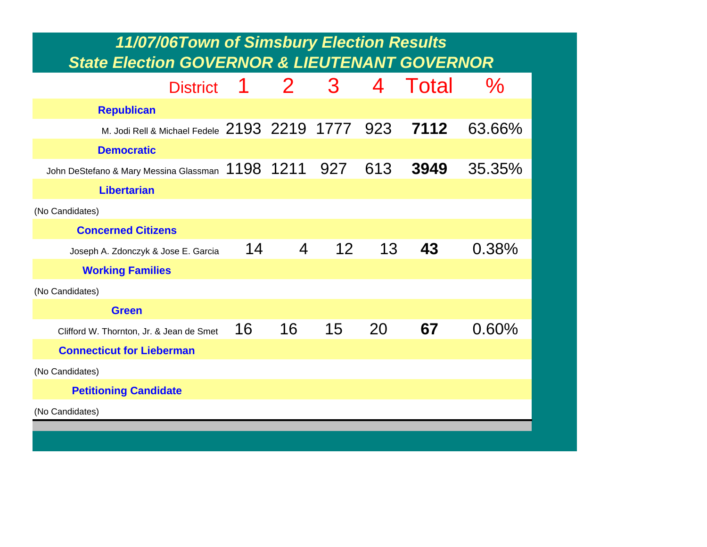| 11/07/06Town of Simsbury Election Results<br><b>State Election GOVERNOR &amp; LIEUTENANT GOVERNOR</b> |    |                |                 |     |       |               |
|-------------------------------------------------------------------------------------------------------|----|----------------|-----------------|-----|-------|---------------|
| <b>District</b>                                                                                       | 1  | $\mathbf{2}$   | 3               | 4   | Total | $\frac{0}{2}$ |
| <b>Republican</b>                                                                                     |    |                |                 |     |       |               |
| M. Jodi Rell & Michael Fedele 2193 2219 1777 923                                                      |    |                |                 |     | 7112  | 63.66%        |
| <b>Democratic</b>                                                                                     |    |                |                 |     |       |               |
| John DeStefano & Mary Messina Glassman $~1198$ $~1211$                                                |    |                | 927             | 613 | 3949  | 35.35%        |
| <b>Libertarian</b>                                                                                    |    |                |                 |     |       |               |
| (No Candidates)                                                                                       |    |                |                 |     |       |               |
| <b>Concerned Citizens</b>                                                                             |    |                |                 |     |       |               |
| Joseph A. Zdonczyk & Jose E. Garcia                                                                   | 14 | $\overline{4}$ | 12 <sup>2</sup> | 13  | 43    | 0.38%         |
| <b>Working Families</b>                                                                               |    |                |                 |     |       |               |
| (No Candidates)                                                                                       |    |                |                 |     |       |               |
| <b>Green</b>                                                                                          |    |                |                 |     |       |               |
| Clifford W. Thornton, Jr. & Jean de Smet                                                              | 16 | 16             | 15              | 20  | 67    | 0.60%         |
| <b>Connecticut for Lieberman</b>                                                                      |    |                |                 |     |       |               |
| (No Candidates)                                                                                       |    |                |                 |     |       |               |
| <b>Petitioning Candidate</b>                                                                          |    |                |                 |     |       |               |
| (No Candidates)                                                                                       |    |                |                 |     |       |               |
|                                                                                                       |    |                |                 |     |       |               |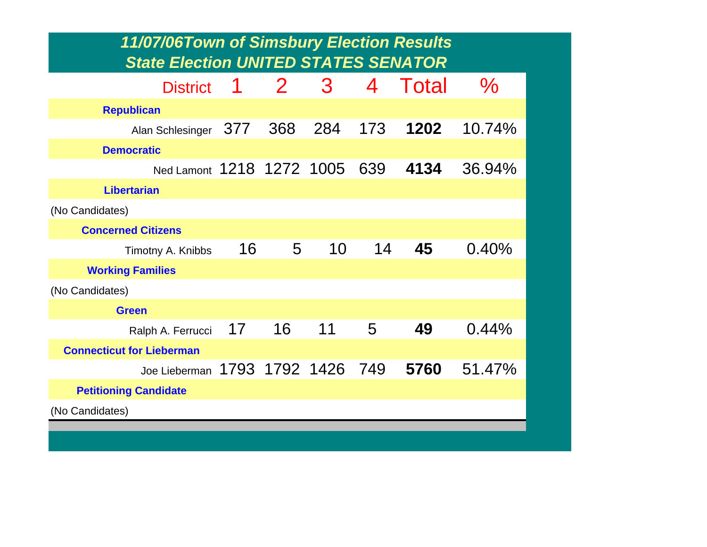| 11/07/06Town of Simsbury Election Results<br><b>State Election UNITED STATES SENATOR</b> |     |              |     |     |       |        |
|------------------------------------------------------------------------------------------|-----|--------------|-----|-----|-------|--------|
| <b>District</b>                                                                          | 1   | $\mathbf{2}$ | 3   | 4   | Total | $\%$   |
| <b>Republican</b>                                                                        |     |              |     |     |       |        |
| Alan Schlesinger                                                                         | 377 | 368          | 284 | 173 | 1202  | 10.74% |
| <b>Democratic</b>                                                                        |     |              |     |     |       |        |
| Ned Lamont 1218 1272 1005                                                                |     |              |     | 639 | 4134  | 36.94% |
| <b>Libertarian</b>                                                                       |     |              |     |     |       |        |
| (No Candidates)                                                                          |     |              |     |     |       |        |
| <b>Concerned Citizens</b>                                                                |     |              |     |     |       |        |
| Timotny A. Knibbs                                                                        | 16  | 5            | 10  | 14  | 45    | 0.40%  |
| <b>Working Families</b>                                                                  |     |              |     |     |       |        |
| (No Candidates)                                                                          |     |              |     |     |       |        |
| <b>Green</b>                                                                             |     |              |     |     |       |        |
| Ralph A. Ferrucci                                                                        | 17  | 16           | 11  | 5   | 49    | 0.44%  |
| <b>Connecticut for Lieberman</b>                                                         |     |              |     |     |       |        |
| Joe Lieberman 1793 1792 1426 749                                                         |     |              |     |     | 5760  | 51.47% |
| <b>Petitioning Candidate</b>                                                             |     |              |     |     |       |        |
| (No Candidates)                                                                          |     |              |     |     |       |        |
|                                                                                          |     |              |     |     |       |        |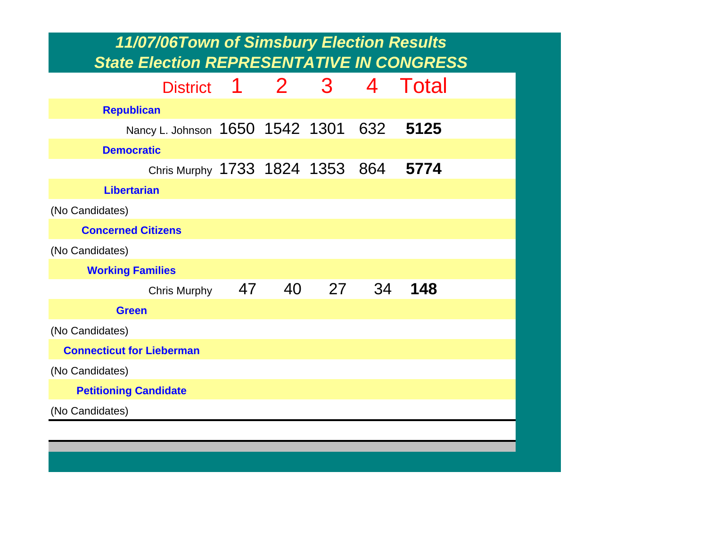| 11/07/06Town of Simsbury Election Results<br><b>State Election REPRESENTATIVE IN CONGRESS</b> |    |             |              |     |       |  |  |  |  |
|-----------------------------------------------------------------------------------------------|----|-------------|--------------|-----|-------|--|--|--|--|
| <b>District</b>                                                                               |    | $1 \quad 2$ | $\mathbf{3}$ | 4   | Total |  |  |  |  |
| <b>Republican</b>                                                                             |    |             |              |     |       |  |  |  |  |
| Nancy L. Johnson 1650 1542 1301                                                               |    |             |              | 632 | 5125  |  |  |  |  |
| <b>Democratic</b>                                                                             |    |             |              |     |       |  |  |  |  |
| Chris Murphy 1733 1824 1353 864                                                               |    |             |              |     | 5774  |  |  |  |  |
| <b>Libertarian</b>                                                                            |    |             |              |     |       |  |  |  |  |
| (No Candidates)                                                                               |    |             |              |     |       |  |  |  |  |
| <b>Concerned Citizens</b>                                                                     |    |             |              |     |       |  |  |  |  |
| (No Candidates)                                                                               |    |             |              |     |       |  |  |  |  |
| <b>Working Families</b>                                                                       |    |             |              |     |       |  |  |  |  |
| <b>Chris Murphy</b>                                                                           | 47 | 40          | 27           | 34  | 148   |  |  |  |  |
| <b>Green</b>                                                                                  |    |             |              |     |       |  |  |  |  |
| (No Candidates)                                                                               |    |             |              |     |       |  |  |  |  |
| <b>Connecticut for Lieberman</b>                                                              |    |             |              |     |       |  |  |  |  |
| (No Candidates)                                                                               |    |             |              |     |       |  |  |  |  |
| <b>Petitioning Candidate</b>                                                                  |    |             |              |     |       |  |  |  |  |
| (No Candidates)                                                                               |    |             |              |     |       |  |  |  |  |
|                                                                                               |    |             |              |     |       |  |  |  |  |
|                                                                                               |    |             |              |     |       |  |  |  |  |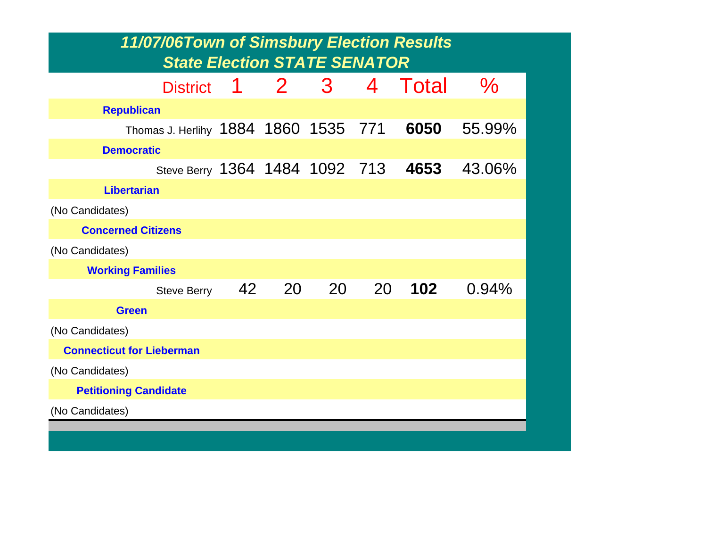| 11/07/06Town of Simsbury Election Results<br><b>State Election STATE SENATOR</b> |    |       |    |    |       |        |  |  |  |  |
|----------------------------------------------------------------------------------|----|-------|----|----|-------|--------|--|--|--|--|
|                                                                                  |    |       |    |    |       |        |  |  |  |  |
| <b>District</b>                                                                  | 1  | $2 -$ | 3  | 4  | Total | $\%$   |  |  |  |  |
| <b>Republican</b>                                                                |    |       |    |    |       |        |  |  |  |  |
| Thomas J. Herlihy 1884 1860 1535 771                                             |    |       |    |    | 6050  | 55.99% |  |  |  |  |
| <b>Democratic</b>                                                                |    |       |    |    |       |        |  |  |  |  |
| Steve Berry 1364 1484 1092 713                                                   |    |       |    |    | 4653  | 43.06% |  |  |  |  |
| <b>Libertarian</b>                                                               |    |       |    |    |       |        |  |  |  |  |
| (No Candidates)                                                                  |    |       |    |    |       |        |  |  |  |  |
| <b>Concerned Citizens</b>                                                        |    |       |    |    |       |        |  |  |  |  |
| (No Candidates)                                                                  |    |       |    |    |       |        |  |  |  |  |
| <b>Working Families</b>                                                          |    |       |    |    |       |        |  |  |  |  |
| <b>Steve Berry</b>                                                               | 42 | 20    | 20 | 20 | 102   | 0.94%  |  |  |  |  |
| <b>Green</b>                                                                     |    |       |    |    |       |        |  |  |  |  |
| (No Candidates)                                                                  |    |       |    |    |       |        |  |  |  |  |
| <b>Connecticut for Lieberman</b>                                                 |    |       |    |    |       |        |  |  |  |  |
| (No Candidates)                                                                  |    |       |    |    |       |        |  |  |  |  |
| <b>Petitioning Candidate</b>                                                     |    |       |    |    |       |        |  |  |  |  |
| (No Candidates)                                                                  |    |       |    |    |       |        |  |  |  |  |
|                                                                                  |    |       |    |    |       |        |  |  |  |  |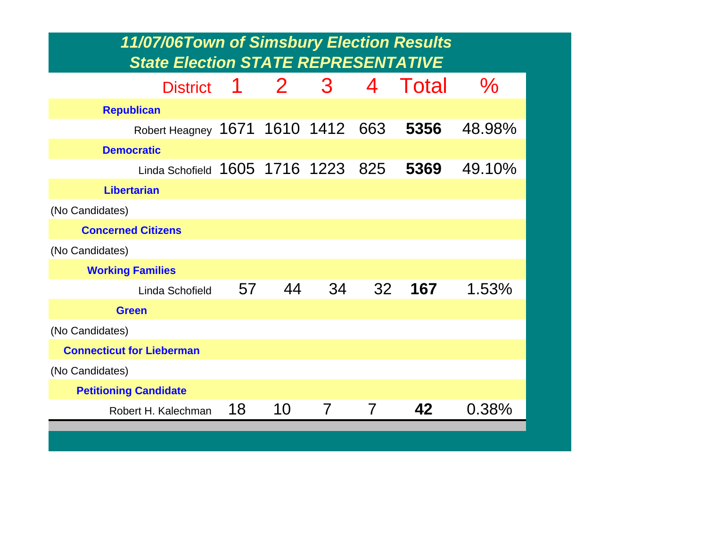| <b>State Election STATE REPRESENTATIVE</b><br>$2 -$<br>3<br>Total<br>$\%$<br>4<br>1<br><b>District</b><br><b>Republican</b><br>Robert Heagney 1671 1610 1412<br>5356<br>48.98%<br>663<br><b>Democratic</b><br>Linda Schofield 1605 1716 1223 825<br>5369<br>49.10%<br><b>Libertarian</b><br>(No Candidates)<br><b>Concerned Citizens</b><br>(No Candidates)<br><b>Working Families</b><br>44<br>34<br>32<br>167<br>57<br>1.53%<br>Linda Schofield<br><b>Green</b><br>(No Candidates)<br><b>Connecticut for Lieberman</b><br>(No Candidates)<br><b>Petitioning Candidate</b><br>42<br>18<br>10<br>0.38%<br>7<br>7<br>Robert H. Kalechman | 11/07/06Town of Simsbury Election Results |  |  |  |
|-----------------------------------------------------------------------------------------------------------------------------------------------------------------------------------------------------------------------------------------------------------------------------------------------------------------------------------------------------------------------------------------------------------------------------------------------------------------------------------------------------------------------------------------------------------------------------------------------------------------------------------------|-------------------------------------------|--|--|--|
|                                                                                                                                                                                                                                                                                                                                                                                                                                                                                                                                                                                                                                         |                                           |  |  |  |
|                                                                                                                                                                                                                                                                                                                                                                                                                                                                                                                                                                                                                                         |                                           |  |  |  |
|                                                                                                                                                                                                                                                                                                                                                                                                                                                                                                                                                                                                                                         |                                           |  |  |  |
|                                                                                                                                                                                                                                                                                                                                                                                                                                                                                                                                                                                                                                         |                                           |  |  |  |
|                                                                                                                                                                                                                                                                                                                                                                                                                                                                                                                                                                                                                                         |                                           |  |  |  |
|                                                                                                                                                                                                                                                                                                                                                                                                                                                                                                                                                                                                                                         |                                           |  |  |  |
|                                                                                                                                                                                                                                                                                                                                                                                                                                                                                                                                                                                                                                         |                                           |  |  |  |
|                                                                                                                                                                                                                                                                                                                                                                                                                                                                                                                                                                                                                                         |                                           |  |  |  |
|                                                                                                                                                                                                                                                                                                                                                                                                                                                                                                                                                                                                                                         |                                           |  |  |  |
|                                                                                                                                                                                                                                                                                                                                                                                                                                                                                                                                                                                                                                         |                                           |  |  |  |
|                                                                                                                                                                                                                                                                                                                                                                                                                                                                                                                                                                                                                                         |                                           |  |  |  |
|                                                                                                                                                                                                                                                                                                                                                                                                                                                                                                                                                                                                                                         |                                           |  |  |  |
|                                                                                                                                                                                                                                                                                                                                                                                                                                                                                                                                                                                                                                         |                                           |  |  |  |
|                                                                                                                                                                                                                                                                                                                                                                                                                                                                                                                                                                                                                                         |                                           |  |  |  |
|                                                                                                                                                                                                                                                                                                                                                                                                                                                                                                                                                                                                                                         |                                           |  |  |  |
|                                                                                                                                                                                                                                                                                                                                                                                                                                                                                                                                                                                                                                         |                                           |  |  |  |
|                                                                                                                                                                                                                                                                                                                                                                                                                                                                                                                                                                                                                                         |                                           |  |  |  |
|                                                                                                                                                                                                                                                                                                                                                                                                                                                                                                                                                                                                                                         |                                           |  |  |  |
|                                                                                                                                                                                                                                                                                                                                                                                                                                                                                                                                                                                                                                         |                                           |  |  |  |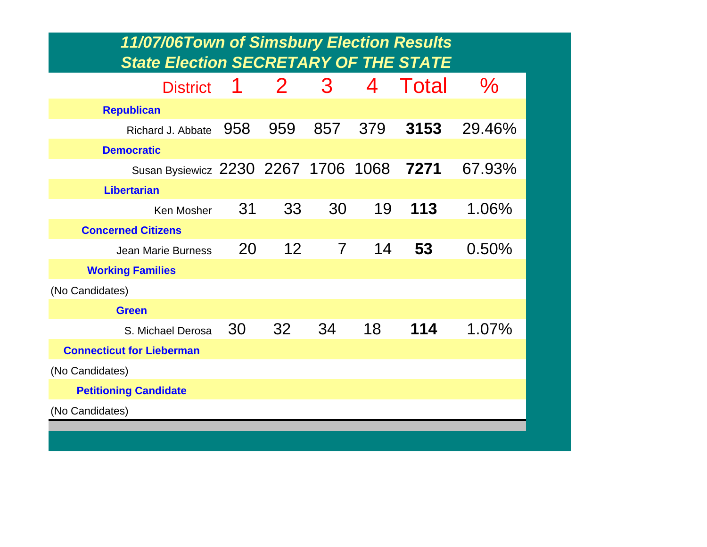| 11/07/06Town of Simsbury Election Results<br><b>State Election SECRETARY OF THE STATE</b> |     |                 |                |      |       |        |
|-------------------------------------------------------------------------------------------|-----|-----------------|----------------|------|-------|--------|
| <b>District</b>                                                                           | 1   | $\mathbf{2}$    | 3              | 4    | Total | $\%$   |
| <b>Republican</b>                                                                         |     |                 |                |      |       |        |
| Richard J. Abbate                                                                         | 958 | 959             | 857            | 379  | 3153  | 29.46% |
| <b>Democratic</b>                                                                         |     |                 |                |      |       |        |
| Susan Bysiewicz 2230 2267 1706                                                            |     |                 |                | 1068 | 7271  | 67.93% |
| <b>Libertarian</b>                                                                        |     |                 |                |      |       |        |
| Ken Mosher                                                                                | 31  | 33              | 30             | 19   | 113   | 1.06%  |
| <b>Concerned Citizens</b>                                                                 |     |                 |                |      |       |        |
| <b>Jean Marie Burness</b>                                                                 | 20  | 12 <sup>°</sup> | $\overline{7}$ | 14   | 53    | 0.50%  |
| <b>Working Families</b>                                                                   |     |                 |                |      |       |        |
| (No Candidates)                                                                           |     |                 |                |      |       |        |
| <b>Green</b>                                                                              |     |                 |                |      |       |        |
| S. Michael Derosa                                                                         | 30  | 32              | 34             | 18   | 114   | 1.07%  |
| <b>Connecticut for Lieberman</b>                                                          |     |                 |                |      |       |        |
| (No Candidates)                                                                           |     |                 |                |      |       |        |
| <b>Petitioning Candidate</b>                                                              |     |                 |                |      |       |        |
| (No Candidates)                                                                           |     |                 |                |      |       |        |
|                                                                                           |     |                 |                |      |       |        |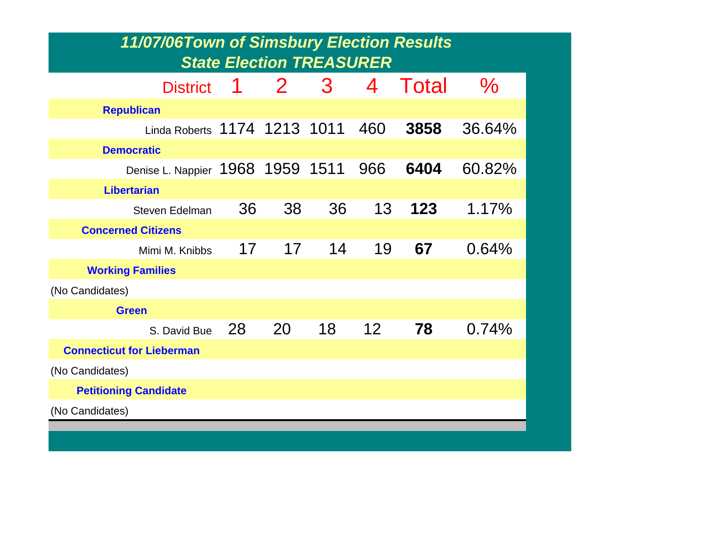| 11/07/06Town of Simsbury Election Results<br><b>State Election TREASURER</b> |    |                 |    |                 |       |               |  |  |
|------------------------------------------------------------------------------|----|-----------------|----|-----------------|-------|---------------|--|--|
| <b>District</b>                                                              | 1  | $\mathbf{2}$    | 3  | 4               | Total | $\frac{6}{6}$ |  |  |
| <b>Republican</b>                                                            |    |                 |    |                 |       |               |  |  |
| Linda Roberts 1174 1213 1011                                                 |    |                 |    | 460             | 3858  | 36.64%        |  |  |
| <b>Democratic</b>                                                            |    |                 |    |                 |       |               |  |  |
| Denise L. Nappier 1968 1959 1511                                             |    |                 |    | 966             | 6404  | 60.82%        |  |  |
| <b>Libertarian</b>                                                           |    |                 |    |                 |       |               |  |  |
| <b>Steven Edelman</b>                                                        | 36 | 38              | 36 | 13              | 123   | 1.17%         |  |  |
| <b>Concerned Citizens</b>                                                    |    |                 |    |                 |       |               |  |  |
| Mimi M. Knibbs                                                               | 17 | 17 <sup>7</sup> | 14 | 19              | 67    | 0.64%         |  |  |
| <b>Working Families</b>                                                      |    |                 |    |                 |       |               |  |  |
| (No Candidates)                                                              |    |                 |    |                 |       |               |  |  |
| <b>Green</b>                                                                 |    |                 |    |                 |       |               |  |  |
| S. David Bue                                                                 | 28 | 20              | 18 | 12 <sup>2</sup> | 78    | 0.74%         |  |  |
| <b>Connecticut for Lieberman</b>                                             |    |                 |    |                 |       |               |  |  |
| (No Candidates)                                                              |    |                 |    |                 |       |               |  |  |
| <b>Petitioning Candidate</b>                                                 |    |                 |    |                 |       |               |  |  |
| (No Candidates)                                                              |    |                 |    |                 |       |               |  |  |
|                                                                              |    |                 |    |                 |       |               |  |  |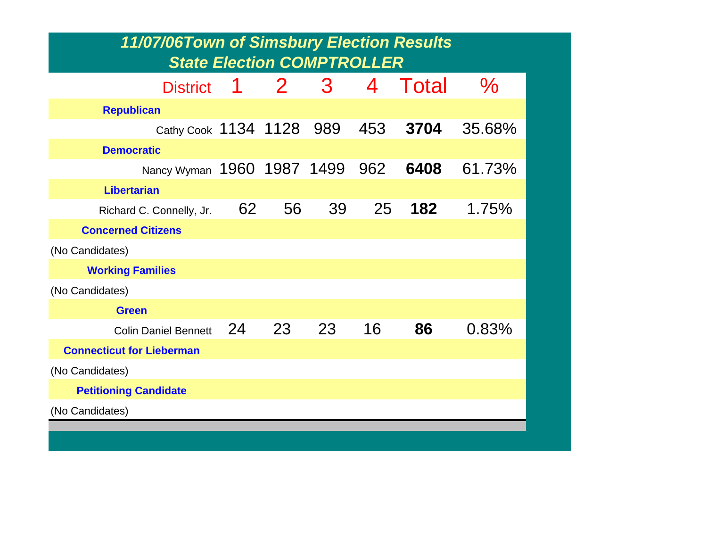| 11/07/06Town of Simsbury Election Results<br><b>State Election COMPTROLLER</b> |    |                |    |     |       |        |  |  |  |
|--------------------------------------------------------------------------------|----|----------------|----|-----|-------|--------|--|--|--|
| <b>District</b>                                                                | 1  | 2 <sup>1</sup> | 3  | 4   | Total | $\%$   |  |  |  |
| <b>Republican</b>                                                              |    |                |    |     |       |        |  |  |  |
| Cathy Cook 1134 1128 989                                                       |    |                |    | 453 | 3704  | 35.68% |  |  |  |
| <b>Democratic</b>                                                              |    |                |    |     |       |        |  |  |  |
| Nancy Wyman                                                                    |    | 1960 1987 1499 |    | 962 | 6408  | 61.73% |  |  |  |
| <b>Libertarian</b>                                                             |    |                |    |     |       |        |  |  |  |
| Richard C. Connelly, Jr.                                                       | 62 | 56             | 39 | 25  | 182   | 1.75%  |  |  |  |
| <b>Concerned Citizens</b>                                                      |    |                |    |     |       |        |  |  |  |
| (No Candidates)                                                                |    |                |    |     |       |        |  |  |  |
| <b>Working Families</b>                                                        |    |                |    |     |       |        |  |  |  |
| (No Candidates)                                                                |    |                |    |     |       |        |  |  |  |
| <b>Green</b>                                                                   |    |                |    |     |       |        |  |  |  |
| <b>Colin Daniel Bennett</b>                                                    | 24 | 23             | 23 | 16  | 86    | 0.83%  |  |  |  |
| <b>Connecticut for Lieberman</b>                                               |    |                |    |     |       |        |  |  |  |
| (No Candidates)                                                                |    |                |    |     |       |        |  |  |  |
| <b>Petitioning Candidate</b>                                                   |    |                |    |     |       |        |  |  |  |
| (No Candidates)                                                                |    |                |    |     |       |        |  |  |  |
|                                                                                |    |                |    |     |       |        |  |  |  |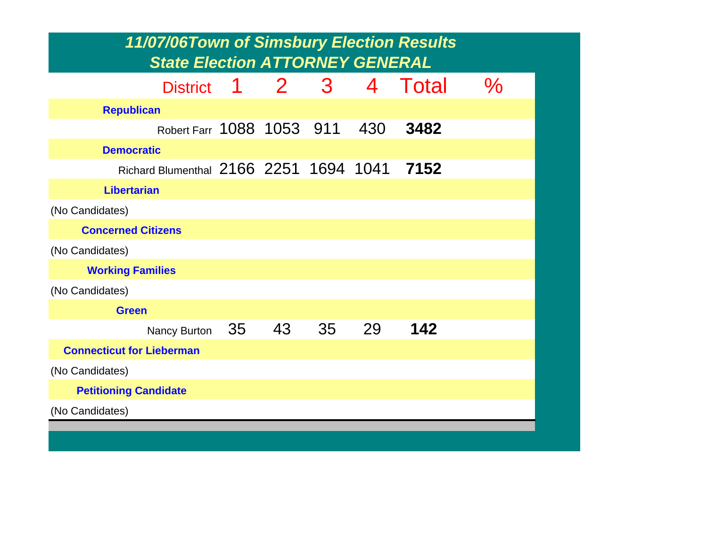| 11/07/06Town of Simsbury Election Results<br><b>State Election ATTORNEY GENERAL</b> |  |   |              |     |       |      |  |  |  |  |
|-------------------------------------------------------------------------------------|--|---|--------------|-----|-------|------|--|--|--|--|
| District 1                                                                          |  | 2 | $\mathbf{3}$ | 4   | Total | $\%$ |  |  |  |  |
| <b>Republican</b>                                                                   |  |   |              |     |       |      |  |  |  |  |
| Robert Farr 1088 1053 911                                                           |  |   |              | 430 | 3482  |      |  |  |  |  |
| <b>Democratic</b>                                                                   |  |   |              |     |       |      |  |  |  |  |
| Richard Blumenthal 2166 2251 1694 1041                                              |  |   |              |     | 7152  |      |  |  |  |  |
| <b>Libertarian</b>                                                                  |  |   |              |     |       |      |  |  |  |  |
| (No Candidates)                                                                     |  |   |              |     |       |      |  |  |  |  |
| <b>Concerned Citizens</b>                                                           |  |   |              |     |       |      |  |  |  |  |
| (No Candidates)                                                                     |  |   |              |     |       |      |  |  |  |  |
| <b>Working Families</b>                                                             |  |   |              |     |       |      |  |  |  |  |
| (No Candidates)                                                                     |  |   |              |     |       |      |  |  |  |  |
| <b>Green</b>                                                                        |  |   |              |     |       |      |  |  |  |  |
| Nancy Burton 35 43                                                                  |  |   | 35           | 29  | 142   |      |  |  |  |  |
| <b>Connecticut for Lieberman</b>                                                    |  |   |              |     |       |      |  |  |  |  |
| (No Candidates)                                                                     |  |   |              |     |       |      |  |  |  |  |
| <b>Petitioning Candidate</b>                                                        |  |   |              |     |       |      |  |  |  |  |
| (No Candidates)                                                                     |  |   |              |     |       |      |  |  |  |  |
|                                                                                     |  |   |              |     |       |      |  |  |  |  |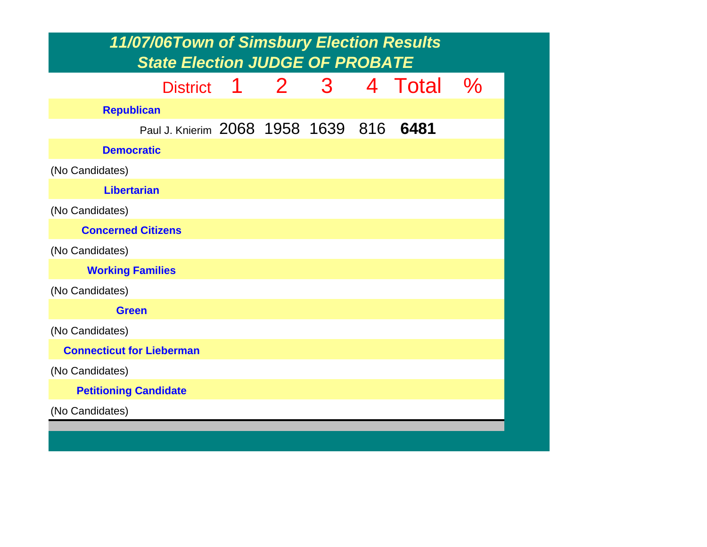|                                  | 11/07/06Town of Simsbury Election Results<br><b>State Election JUDGE OF PROBATE</b> |  |     |         |               |
|----------------------------------|-------------------------------------------------------------------------------------|--|-----|---------|---------------|
|                                  | District 1                                                                          |  | 2 3 | 4 Total | $\frac{O}{O}$ |
| <b>Republican</b>                |                                                                                     |  |     |         |               |
|                                  | Paul J. Knierim 2068 1958 1639 816                                                  |  |     | 6481    |               |
| <b>Democratic</b>                |                                                                                     |  |     |         |               |
| (No Candidates)                  |                                                                                     |  |     |         |               |
| <b>Libertarian</b>               |                                                                                     |  |     |         |               |
| (No Candidates)                  |                                                                                     |  |     |         |               |
| <b>Concerned Citizens</b>        |                                                                                     |  |     |         |               |
| (No Candidates)                  |                                                                                     |  |     |         |               |
| <b>Working Families</b>          |                                                                                     |  |     |         |               |
| (No Candidates)                  |                                                                                     |  |     |         |               |
| <b>Green</b>                     |                                                                                     |  |     |         |               |
| (No Candidates)                  |                                                                                     |  |     |         |               |
| <b>Connecticut for Lieberman</b> |                                                                                     |  |     |         |               |
| (No Candidates)                  |                                                                                     |  |     |         |               |
| <b>Petitioning Candidate</b>     |                                                                                     |  |     |         |               |
| (No Candidates)                  |                                                                                     |  |     |         |               |
|                                  |                                                                                     |  |     |         |               |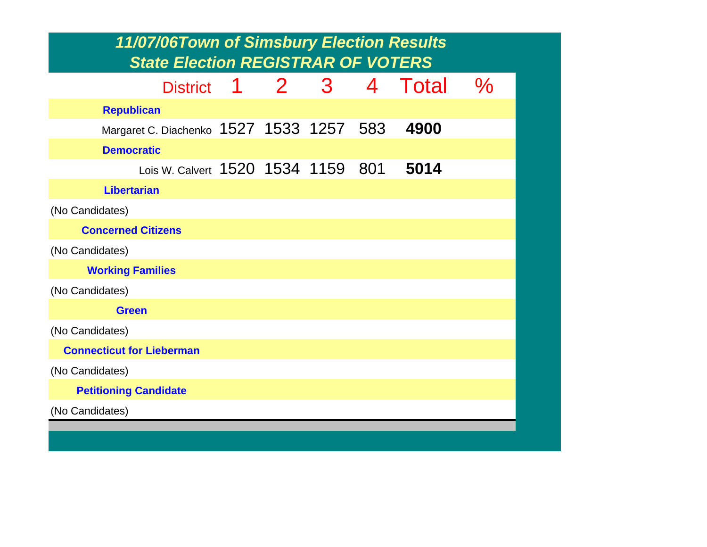| 11/07/06Town of Simsbury Election Results<br><b>State Election REGISTRAR OF VOTERS</b> |   |       |   |     |       |      |  |  |
|----------------------------------------------------------------------------------------|---|-------|---|-----|-------|------|--|--|
|                                                                                        |   |       |   |     |       |      |  |  |
| <b>District</b>                                                                        | 1 | $2 -$ | 3 | 4   | Total | $\%$ |  |  |
| <b>Republican</b>                                                                      |   |       |   |     |       |      |  |  |
| Margaret C. Diachenko 1527 1533 1257 583                                               |   |       |   |     | 4900  |      |  |  |
| <b>Democratic</b>                                                                      |   |       |   |     |       |      |  |  |
| Lois W. Calvert 1520 1534 1159                                                         |   |       |   | 801 | 5014  |      |  |  |
| <b>Libertarian</b>                                                                     |   |       |   |     |       |      |  |  |
| (No Candidates)                                                                        |   |       |   |     |       |      |  |  |
| <b>Concerned Citizens</b>                                                              |   |       |   |     |       |      |  |  |
| (No Candidates)                                                                        |   |       |   |     |       |      |  |  |
| <b>Working Families</b>                                                                |   |       |   |     |       |      |  |  |
| (No Candidates)                                                                        |   |       |   |     |       |      |  |  |
| <b>Green</b>                                                                           |   |       |   |     |       |      |  |  |
| (No Candidates)                                                                        |   |       |   |     |       |      |  |  |
| <b>Connecticut for Lieberman</b>                                                       |   |       |   |     |       |      |  |  |
| (No Candidates)                                                                        |   |       |   |     |       |      |  |  |
| <b>Petitioning Candidate</b>                                                           |   |       |   |     |       |      |  |  |
| (No Candidates)                                                                        |   |       |   |     |       |      |  |  |
|                                                                                        |   |       |   |     |       |      |  |  |